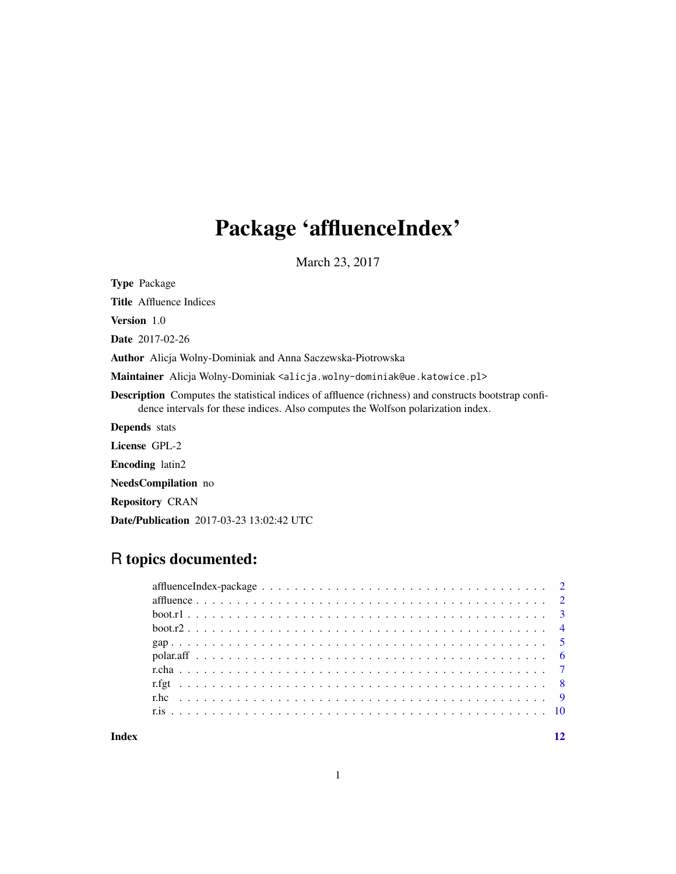# Package 'affluenceIndex'

March 23, 2017

Type Package

Title Affluence Indices

Version 1.0

Date 2017-02-26

Author Alicja Wolny-Dominiak and Anna Saczewska-Piotrowska

Maintainer Alicja Wolny-Dominiak <alicja.wolny-dominiak@ue.katowice.pl>

Description Computes the statistical indices of affluence (richness) and constructs bootstrap confidence intervals for these indices. Also computes the Wolfson polarization index.

Depends stats

License GPL-2

Encoding latin2

NeedsCompilation no

Repository CRAN

Date/Publication 2017-03-23 13:02:42 UTC

## R topics documented:

#### **Index** [12](#page-11-0)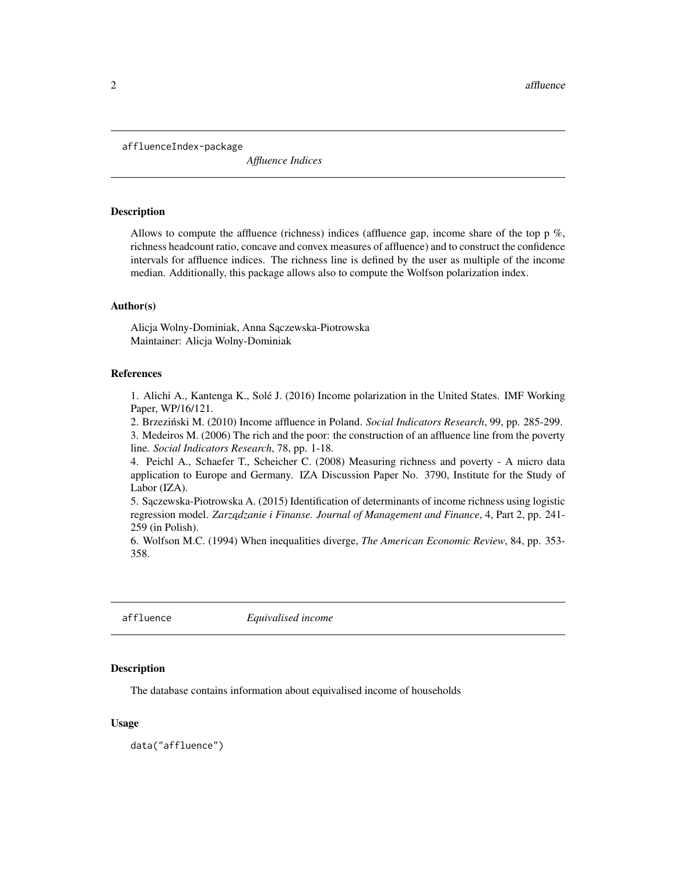<span id="page-1-0"></span>affluenceIndex-package

*Affluence Indices*

#### Description

Allows to compute the affluence (richness) indices (affluence gap, income share of the top  $p\%$ , richness headcount ratio, concave and convex measures of affluence) and to construct the confidence intervals for affluence indices. The richness line is defined by the user as multiple of the income median. Additionally, this package allows also to compute the Wolfson polarization index.

#### Author(s)

Alicja Wolny-Dominiak, Anna Sączewska-Piotrowska Maintainer: Alicja Wolny-Dominiak

#### References

1. Alichi A., Kantenga K., Solé J. (2016) Income polarization in the United States. IMF Working Paper, WP/16/121.

2. Brzezinski M. (2010) Income affluence in Poland. ´ *Social Indicators Research*, 99, pp. 285-299.

3. Medeiros M. (2006) The rich and the poor: the construction of an affluence line from the poverty line. *Social Indicators Research*, 78, pp. 1-18.

4. Peichl A., Schaefer T., Scheicher C. (2008) Measuring richness and poverty - A micro data application to Europe and Germany. IZA Discussion Paper No. 3790, Institute for the Study of Labor (IZA).

5. Sączewska-Piotrowska A. (2015) Identification of determinants of income richness using logistic regression model. *Zarządzanie i Finanse. Journal of Management and Finance*, 4, Part 2, pp. 241-259 (in Polish).

6. Wolfson M.C. (1994) When inequalities diverge, *The American Economic Review*, 84, pp. 353- 358.

affluence *Equivalised income*

#### Description

The database contains information about equivalised income of households

#### Usage

data("affluence")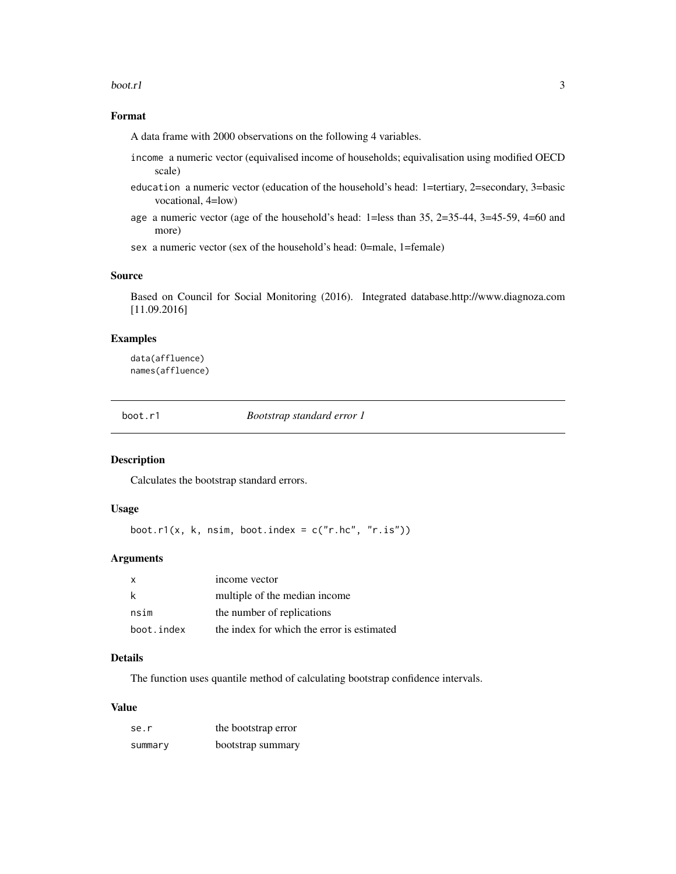#### <span id="page-2-0"></span> $\text{boot.r1}$  3

## Format

A data frame with 2000 observations on the following 4 variables.

- income a numeric vector (equivalised income of households; equivalisation using modified OECD scale)
- education a numeric vector (education of the household's head: 1=tertiary, 2=secondary, 3=basic vocational, 4=low)
- age a numeric vector (age of the household's head: 1=less than 35, 2=35-44, 3=45-59, 4=60 and more)

sex a numeric vector (sex of the household's head: 0=male, 1=female)

#### Source

Based on Council for Social Monitoring (2016). Integrated database.http://www.diagnoza.com [11.09.2016]

## Examples

data(affluence) names(affluence)

boot.r1 *Bootstrap standard error 1*

#### Description

Calculates the bootstrap standard errors.

#### Usage

boot.r1(x, k, nsim, boot.index =  $c("r.hc", "r.is"))$ 

## Arguments

| X          | income vector                              |
|------------|--------------------------------------------|
| k          | multiple of the median income.             |
| nsim       | the number of replications                 |
| boot.index | the index for which the error is estimated |

## Details

The function uses quantile method of calculating bootstrap confidence intervals.

#### Value

| se.r    | the bootstrap error |
|---------|---------------------|
| summary | bootstrap summary   |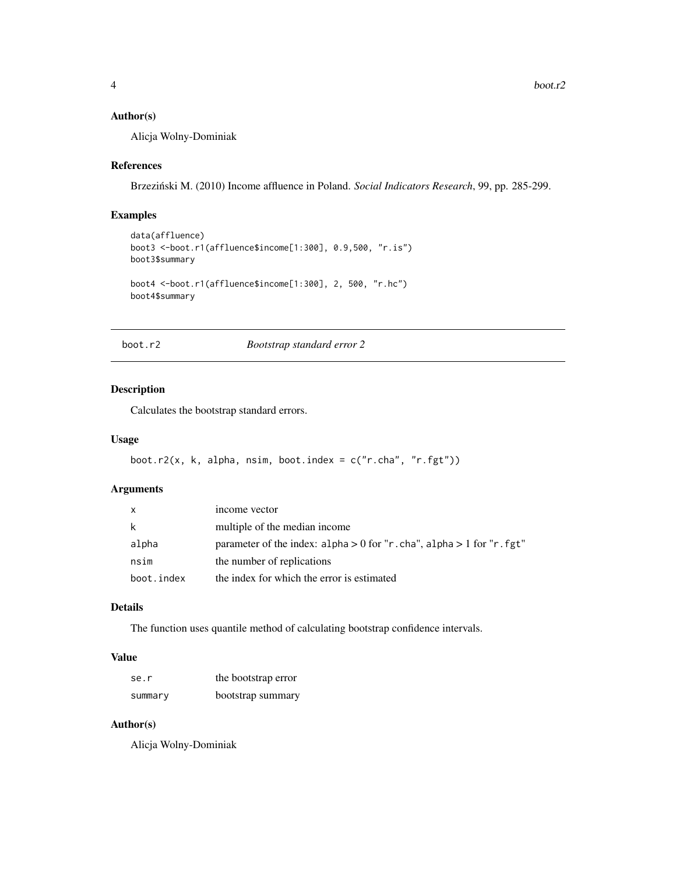## <span id="page-3-0"></span>Author(s)

Alicja Wolny-Dominiak

#### References

Brzezinski M. (2010) Income affluence in Poland. ´ *Social Indicators Research*, 99, pp. 285-299.

## Examples

```
data(affluence)
boot3 <-boot.r1(affluence$income[1:300], 0.9,500, "r.is")
boot3$summary
boot4 <-boot.r1(affluence$income[1:300], 2, 500, "r.hc")
boot4$summary
```
boot.r2 *Bootstrap standard error 2*

## Description

Calculates the bootstrap standard errors.

#### Usage

```
boot.r2(x, k, alpha, nsim, boot.index = c("r.cha", "r.fgt"))
```
#### Arguments

| X          | income vector                                                            |
|------------|--------------------------------------------------------------------------|
| k          | multiple of the median income                                            |
| alpha      | parameter of the index: alpha $> 0$ for "r.cha", alpha $> 1$ for "r.fgt" |
| nsim       | the number of replications                                               |
| boot.index | the index for which the error is estimated                               |

## Details

The function uses quantile method of calculating bootstrap confidence intervals.

## Value

| se.r    | the bootstrap error |
|---------|---------------------|
| summary | bootstrap summary   |

## Author(s)

Alicja Wolny-Dominiak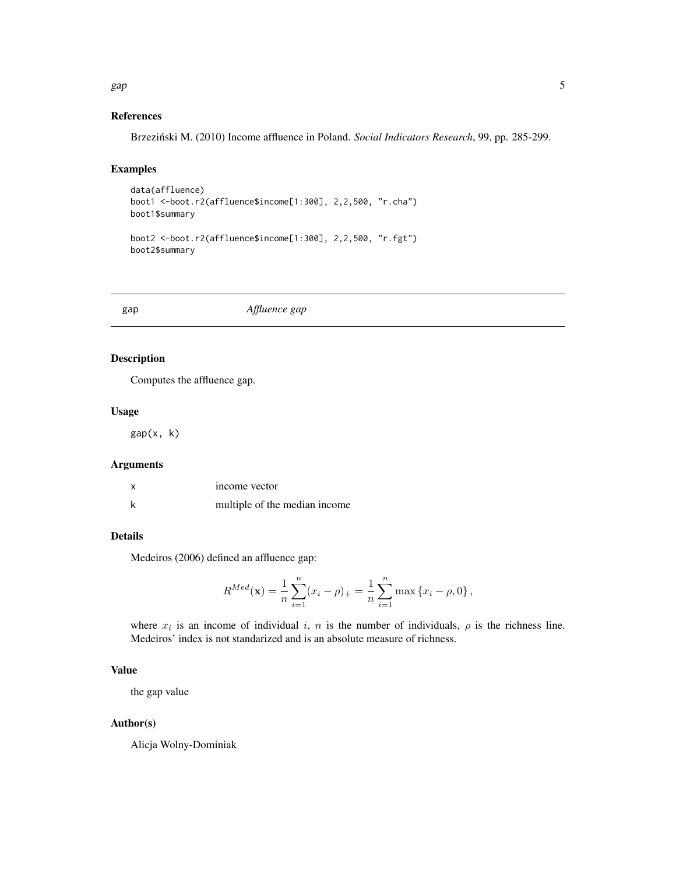#### References

Brzezinski M. (2010) Income affluence in Poland. ´ *Social Indicators Research*, 99, pp. 285-299.

## Examples

```
data(affluence)
boot1 <-boot.r2(affluence$income[1:300], 2,2,500, "r.cha")
boot1$summary
boot2 <-boot.r2(affluence$income[1:300], 2,2,500, "r.fgt")
boot2$summary
```
gap *Affluence gap*

## Description

Computes the affluence gap.

#### Usage

gap(x, k)

#### Arguments

| X | income vector                 |
|---|-------------------------------|
|   | multiple of the median income |

## Details

Medeiros (2006) defined an affluence gap:

$$
R^{Med}(\mathbf{x}) = \frac{1}{n} \sum_{i=1}^{n} (x_i - \rho)_+ = \frac{1}{n} \sum_{i=1}^{n} \max \{x_i - \rho, 0\},\,
$$

where  $x_i$  is an income of individual i, n is the number of individuals,  $\rho$  is the richness line. Medeiros' index is not standarized and is an absolute measure of richness.

## Value

the gap value

## Author(s)

Alicja Wolny-Dominiak

## <span id="page-4-0"></span>gap 5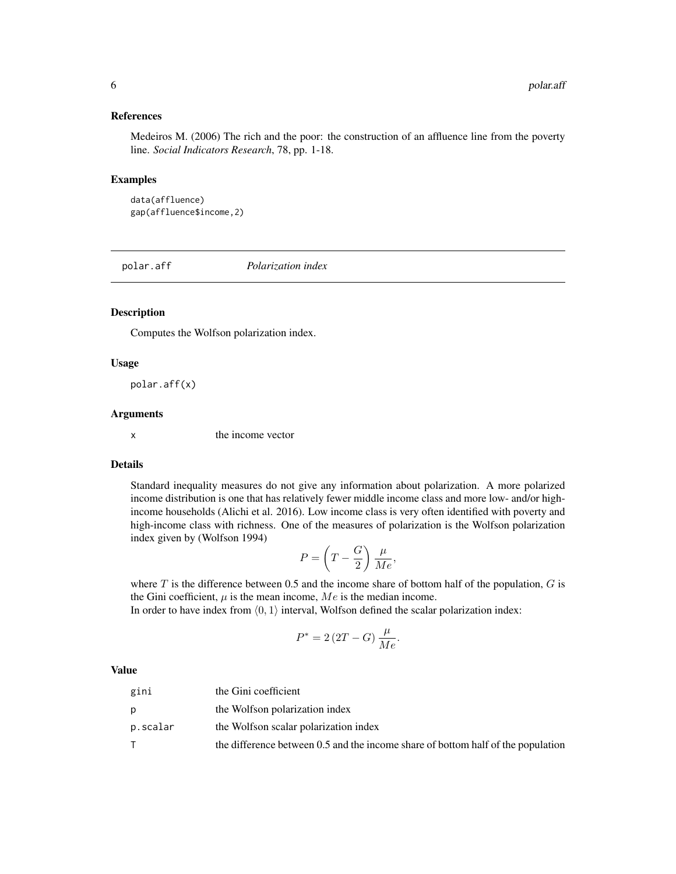#### <span id="page-5-0"></span>References

Medeiros M. (2006) The rich and the poor: the construction of an affluence line from the poverty line. *Social Indicators Research*, 78, pp. 1-18.

#### Examples

data(affluence) gap(affluence\$income,2)

polar.aff *Polarization index*

#### Description

Computes the Wolfson polarization index.

#### Usage

polar.aff(x)

#### Arguments

x the income vector

#### Details

Standard inequality measures do not give any information about polarization. A more polarized income distribution is one that has relatively fewer middle income class and more low- and/or highincome households (Alichi et al. 2016). Low income class is very often identified with poverty and high-income class with richness. One of the measures of polarization is the Wolfson polarization index given by (Wolfson 1994)

$$
P = \left(T - \frac{G}{2}\right) \frac{\mu}{Me},
$$

where  $T$  is the difference between 0.5 and the income share of bottom half of the population,  $G$  is the Gini coefficient,  $\mu$  is the mean income,  $Me$  is the median income.

In order to have index from  $(0, 1)$  interval, Wolfson defined the scalar polarization index:

$$
P^* = 2\left(2T - G\right)\frac{\mu}{Me}.
$$

#### Value

| gini     | the Gini coefficient                                                             |
|----------|----------------------------------------------------------------------------------|
|          | the Wolfson polarization index                                                   |
| p.scalar | the Wolfson scalar polarization index                                            |
|          | the difference between 0.5 and the income share of bottom half of the population |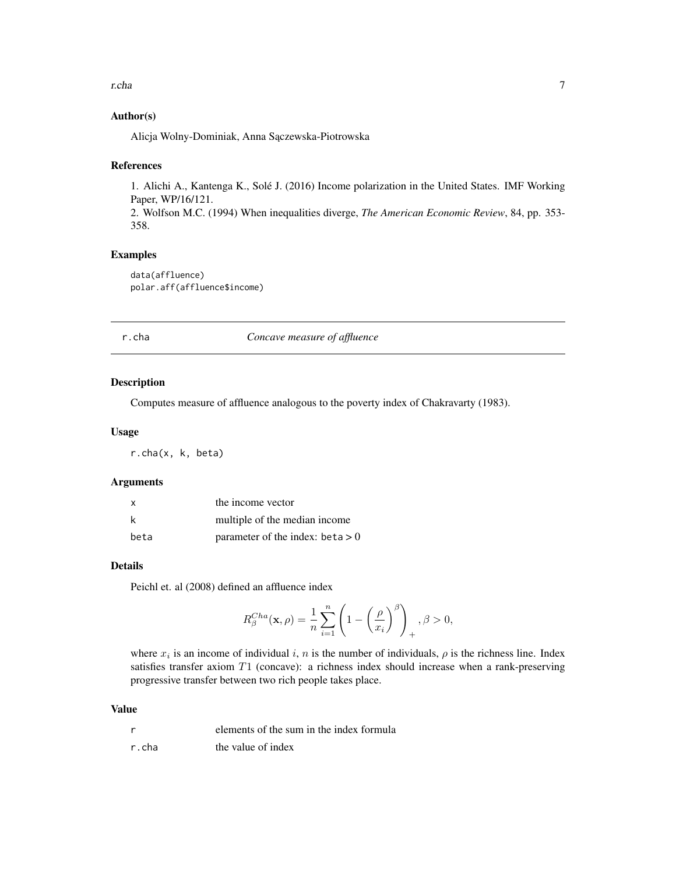#### <span id="page-6-0"></span>r.cha 7

## Author(s)

Alicja Wolny-Dominiak, Anna Sączewska-Piotrowska

#### References

1. Alichi A., Kantenga K., Solé J. (2016) Income polarization in the United States. IMF Working Paper, WP/16/121. 2. Wolfson M.C. (1994) When inequalities diverge, *The American Economic Review*, 84, pp. 353- 358.

## Examples

```
data(affluence)
polar.aff(affluence$income)
```
## r.cha *Concave measure of affluence*

## Description

Computes measure of affluence analogous to the poverty index of Chakravarty (1983).

## Usage

r.cha(x, k, beta)

## Arguments

| x    | the income vector                  |
|------|------------------------------------|
| k    | multiple of the median income.     |
| beta | parameter of the index: beta $> 0$ |

## Details

Peichl et. al (2008) defined an affluence index

$$
R_{\beta}^{Cha}(\mathbf{x}, \rho) = \frac{1}{n} \sum_{i=1}^{n} \left( 1 - \left(\frac{\rho}{x_i}\right)^{\beta} \right)_+, \beta > 0,
$$

where  $x_i$  is an income of individual i, n is the number of individuals,  $\rho$  is the richness line. Index satisfies transfer axiom T1 (concave): a richness index should increase when a rank-preserving progressive transfer between two rich people takes place.

## Value

|       | elements of the sum in the index formula |
|-------|------------------------------------------|
| r.cha | the value of index                       |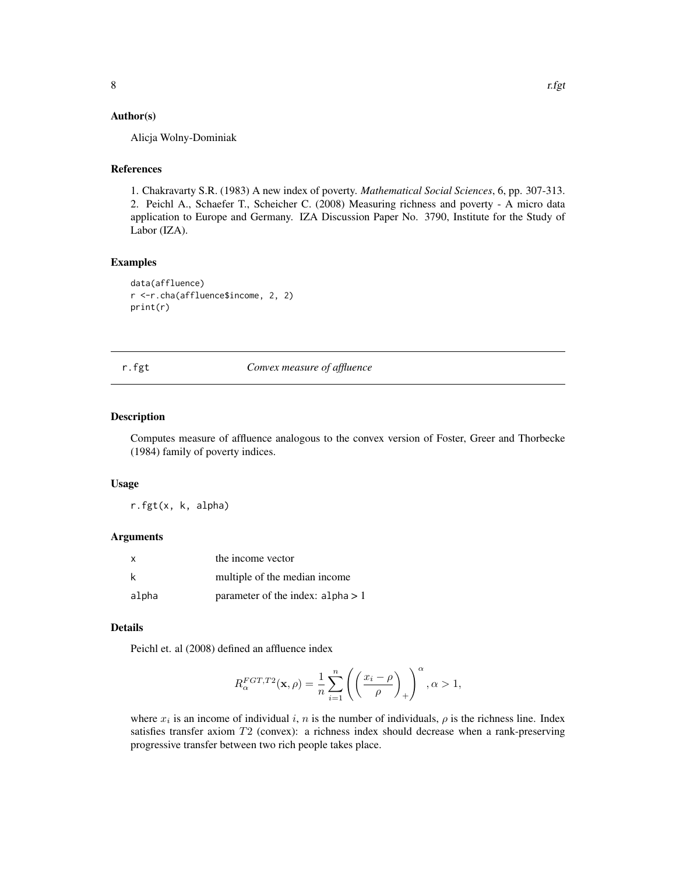## <span id="page-7-0"></span>Author(s)

Alicja Wolny-Dominiak

## References

1. Chakravarty S.R. (1983) A new index of poverty. *Mathematical Social Sciences*, 6, pp. 307-313. 2. Peichl A., Schaefer T., Scheicher C. (2008) Measuring richness and poverty - A micro data application to Europe and Germany. IZA Discussion Paper No. 3790, Institute for the Study of Labor (IZA).

#### Examples

```
data(affluence)
r <-r.cha(affluence$income, 2, 2)
print(r)
```
#### r.fgt *Convex measure of affluence*

#### Description

Computes measure of affluence analogous to the convex version of Foster, Greer and Thorbecke (1984) family of poverty indices.

#### Usage

r.fgt(x, k, alpha)

#### Arguments

| X     | the income vector                   |
|-------|-------------------------------------|
| k     | multiple of the median income       |
| alpha | parameter of the index: $alpha > 1$ |

## Details

Peichl et. al (2008) defined an affluence index

$$
R^{FGT,T2}_{\alpha}(\mathbf{x},\rho)=\frac{1}{n}\sum_{i=1}^{n}\left(\left(\frac{x_{i}-\rho}{\rho}\right)_{+}\right)^{\alpha}, \alpha>1,
$$

where  $x_i$  is an income of individual i, n is the number of individuals,  $\rho$  is the richness line. Index satisfies transfer axiom T2 (convex): a richness index should decrease when a rank-preserving progressive transfer between two rich people takes place.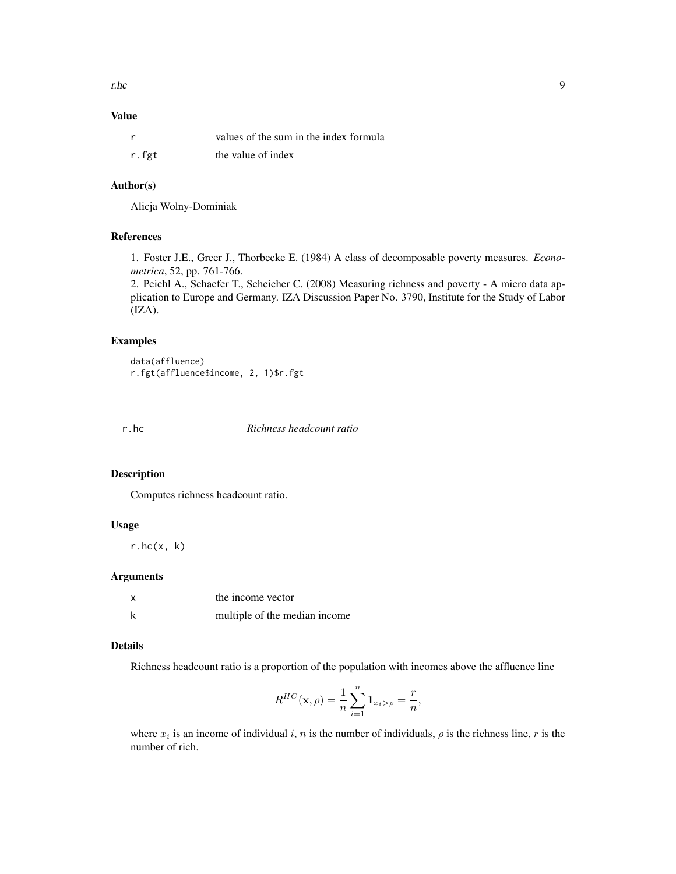<span id="page-8-0"></span>r.hc 9

## Value

| <sub>r</sub> | values of the sum in the index formula |
|--------------|----------------------------------------|
| r.fgt        | the value of index                     |

## Author(s)

Alicja Wolny-Dominiak

## References

1. Foster J.E., Greer J., Thorbecke E. (1984) A class of decomposable poverty measures. *Econometrica*, 52, pp. 761-766.

2. Peichl A., Schaefer T., Scheicher C. (2008) Measuring richness and poverty - A micro data application to Europe and Germany. IZA Discussion Paper No. 3790, Institute for the Study of Labor  $(IZA).$ 

## Examples

data(affluence) r.fgt(affluence\$income, 2, 1)\$r.fgt

r.hc *Richness headcount ratio*

## Description

Computes richness headcount ratio.

#### Usage

r.hc(x, k)

## Arguments

| X | the income vector             |
|---|-------------------------------|
| k | multiple of the median income |

#### Details

Richness headcount ratio is a proportion of the population with incomes above the affluence line

$$
R^{HC}(\mathbf{x},\rho) = \frac{1}{n} \sum_{i=1}^{n} \mathbf{1}_{x_i > \rho} = \frac{r}{n},
$$

where  $x_i$  is an income of individual i, n is the number of individuals,  $\rho$  is the richness line, r is the number of rich.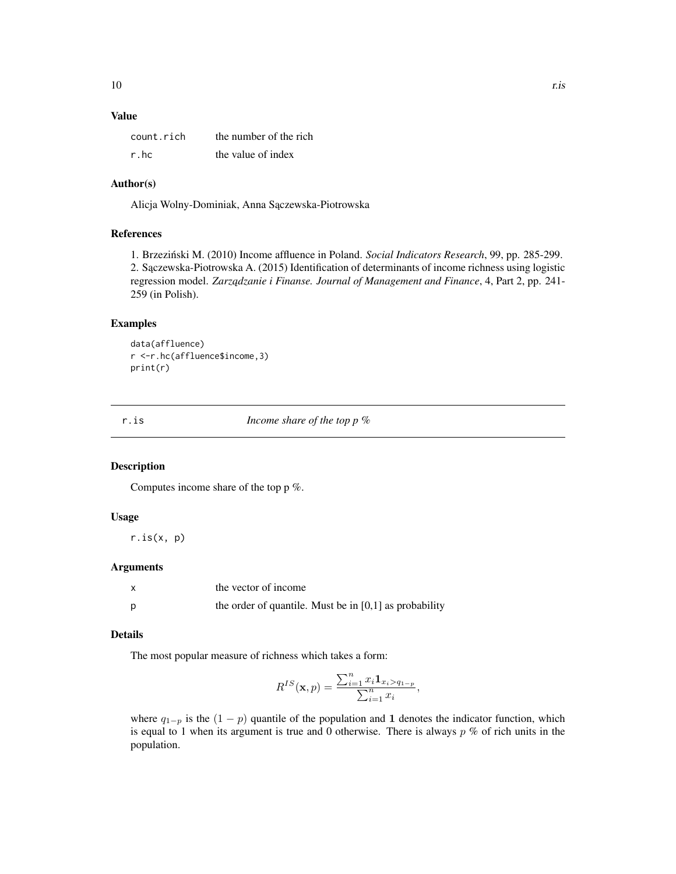## <span id="page-9-0"></span>Value

| count.rich | the number of the rich |
|------------|------------------------|
| r.hc       | the value of index     |

## Author(s)

Alicja Wolny-Dominiak, Anna Sączewska-Piotrowska

## References

1. Brzeziński M. (2010) Income affluence in Poland. Social Indicators Research, 99, pp. 285-299. 2. Sączewska-Piotrowska A. (2015) Identification of determinants of income richness using logistic regression model. *Zarządzanie i Finanse. Journal of Management and Finance*, 4, Part 2, pp. 241-259 (in Polish).

## Examples

```
data(affluence)
r <-r.hc(affluence$income,3)
print(r)
```
r.is *Income share of the top p %*

## Description

Computes income share of the top p %.

## Usage

 $r.is(x, p)$ 

#### Arguments

| X | the vector of income                                     |
|---|----------------------------------------------------------|
| D | the order of quantile. Must be in $[0,1]$ as probability |

#### Details

The most popular measure of richness which takes a form:

$$
R^{IS}(\mathbf{x},p) = \frac{\sum_{i=1}^{n} x_i \mathbf{1}_{x_i > q_{1-p}}}{\sum_{i=1}^{n} x_i},
$$

where  $q_{1-p}$  is the  $(1 - p)$  quantile of the population and 1 denotes the indicator function, which is equal to 1 when its argument is true and 0 otherwise. There is always  $p \%$  of rich units in the population.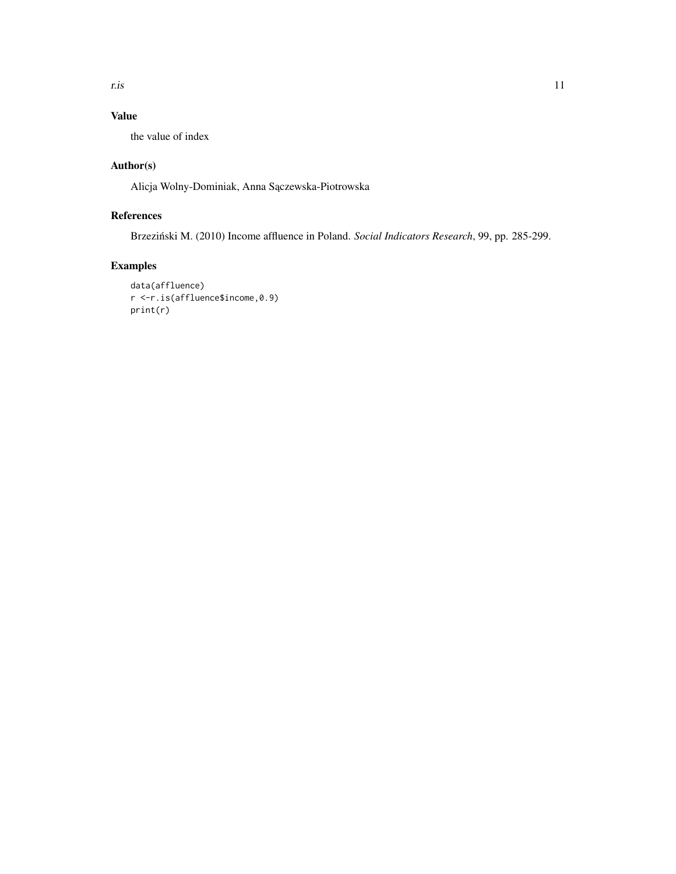r.is and the contract of the contract of the contract of the contract of the contract of the contract of the contract of the contract of the contract of the contract of the contract of the contract of the contract of the c

## Value

the value of index

## Author(s)

Alicja Wolny-Dominiak, Anna Sączewska-Piotrowska

## References

Brzeziński M. (2010) Income affluence in Poland. Social Indicators Research, 99, pp. 285-299.

## Examples

```
data(affluence)
r <-r.is(affluence$income,0.9)
print(r)
```